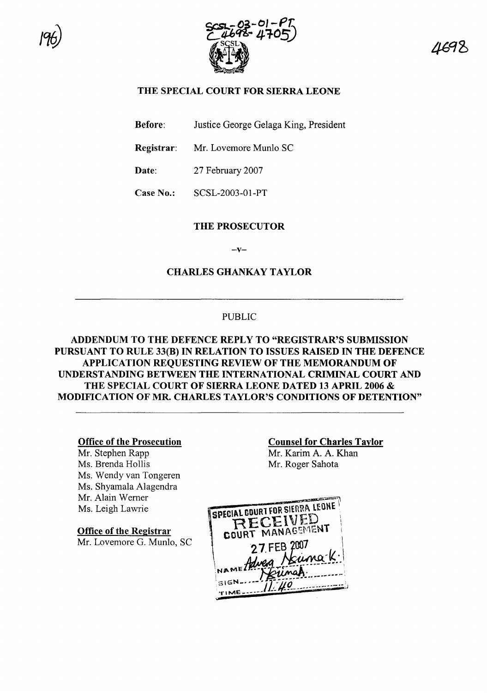



# THE SPECIAL COURT FOR SIERRA LEONE

Before: Justice George Gelaga King, President

Registrar: Mr. Lovemore Munlo SC

Date: 27 February 2007

Case No.: SCSL-2003-01-PT

### THE PROSECUTOR

 $-v-$ 

### CHARLES GHANKAY TAYLOR

### PUBLIC

# ADDENDUM TO THE DEFENCE REPLY TO "REGISTRAR'S SUBMISSION PURSUANT TO RULE 33(B) IN RELATION TO ISSUES RAISED IN THE DEFENCE APPLICATION REQUESTING REVIEW OF THE MEMORANDUM OF UNDERSTANDING BETWEEN THE INTERNATIONAL CRIMINAL COURT AND THE SPECIAL COURT OF SIERRA LEONE DATED 13 APRIL 2006 & MODIFICATION OF MR. CHARLES TAYLOR'S CONDITIONS OF DETENTION"

#### Office of the Prosecution

Mr. Stephen Rapp Ms. Brenda Hollis Ms. Wendy van Tongeren Ms. Shyamala Alagendra Mr. Alain Wemer Ms. Leigh Lawrie

Office of the Registrar Mr. Lovemore G. Munlo, SC

# Counsel for Charles Taylor

Mr. Karim A. A. Khan Mr. Roger Sahota

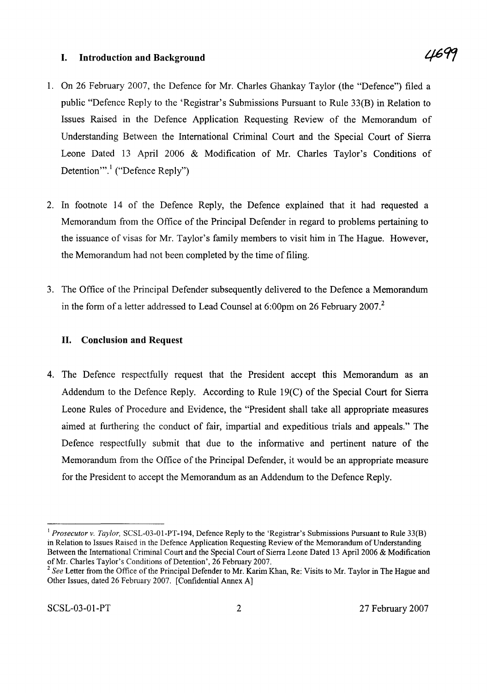### **I. Introduction and Background**

- 1. On 26 February 2007, the Defence for Mr. Charles Ghankay Taylor (the "Defence") filed a public "Defence Reply to the 'Registrar's Submissions Pursuant to Rule 33(B) in Relation to Issues Raised in the Defence Application Requesting Review of the Memorandum of Understanding Between the International Criminal Court and the Special Court of Sierra Leone Dated 13 April 2006 & Modification of Mr. Charles Taylor's Conditions of Detention".<sup>1</sup> ("Defence Reply")
- 2. In footnote 14 of the Defence Reply, the Defence explained that it had requested a Memorandum from the Office of the Principal Defender in regard to problems pertaining to the issuance of visas for Mr. Taylor's family members to visit him in The Hague. However, the Memorandum had not been completed by the time of filing.
- 3. The Office of the Principal Defender subsequently delivered to the Defence a Memorandum in the form of a letter addressed to Lead Counsel at  $6:00 \text{pm}$  on 26 February 2007.<sup>2</sup>

# **II. Conclusion and Request**

4. The Defence respectfully request that the President accept this Memorandum as an Addendum to the Defence Reply. According to Rule 19(C) of the Special Court for Sierra Leone Rules of Procedure and Evidence, the "President shall take all appropriate measures aimed at furthering the conduct of fair, impartial and expeditious trials and appeals." The Defence respectfully submit that due to the informative and pertinent nature of the Memorandum from the Office of the Principal Defender, it would be an appropriate measure for the President to accept the Memorandum as an Addendum to the Defence Reply.

<sup>&</sup>lt;sup>1</sup> *Prosecutor v. Taylor*, SCSL-03-01-PT-194, Defence Reply to the 'Registrar's Submissions Pursuant to Rule 33(B) in Relation to Issues Raised in the Defence Application Requesting Review of the Memorandum of Understanding Between the International Criminal Court and the Special Court of Sierra Leone Dated 13 April 2006 & Modification ofMr. Charles Taylor's Conditions of Detention', 26 February 2007.

<sup>&</sup>lt;sup>2</sup> See Letter from the Office of the Principal Defender to Mr. Karim Khan, Re: Visits to Mr. Taylor in The Hague and Other Issues, dated 26 February 2007. [Confidential Annex A]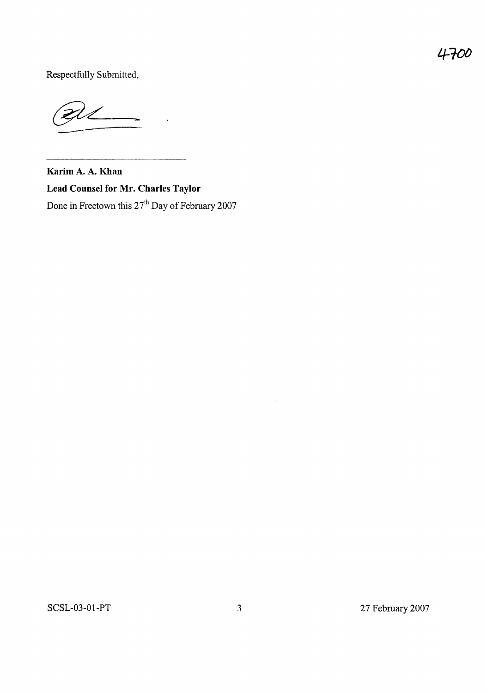Respectfully Submitted,

**Karim A. A. Khan Lead Counsel for Mr. Charles Taylor** Done in Freetown this  $27<sup>th</sup>$  Day of February 2007

 $\ddot{\phantom{a}}$ 

 $\mathcal{A}^{\mathcal{A}}$